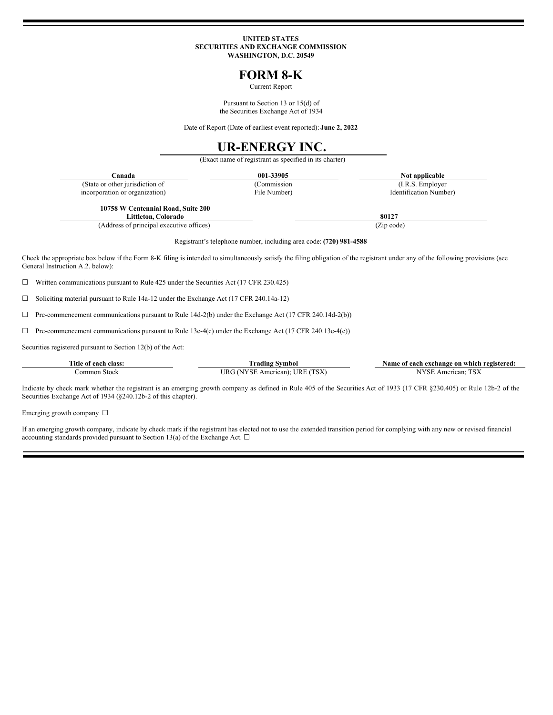#### **UNITED STATES SECURITIES AND EXCHANGE COMMISSION WASHINGTON, D.C. 20549**

## **FORM 8-K**

Current Report

Pursuant to Section 13 or 15(d) of the Securities Exchange Act of 1934

Date of Report (Date of earliest event reported): **June 2, 2022**

# **UR-ENERGY INC.**

(Exact name of registrant as specified in its charter)

|                                                                    | Canada                                                                                                                                                                                                              | 001-33905    | Not applicable         |  |
|--------------------------------------------------------------------|---------------------------------------------------------------------------------------------------------------------------------------------------------------------------------------------------------------------|--------------|------------------------|--|
|                                                                    | (State or other jurisdiction of                                                                                                                                                                                     | (Commission  | (I.R.S. Employer)      |  |
|                                                                    | incorporation or organization)                                                                                                                                                                                      | File Number) | Identification Number) |  |
|                                                                    | 10758 W Centennial Road, Suite 200<br>Littleton, Colorado                                                                                                                                                           |              | 80127                  |  |
|                                                                    | (Address of principal executive offices)                                                                                                                                                                            |              | (Zip code)             |  |
| Registrant's telephone number, including area code: (720) 981-4588 |                                                                                                                                                                                                                     |              |                        |  |
|                                                                    | Check the appropriate box below if the Form 8-K filing is intended to simultaneously satisfy the filing obligation of the registrant under any of the following provisions (see<br>General Instruction A.2. below): |              |                        |  |
|                                                                    | Written communications pursuant to Rule 425 under the Securities Act (17 CFR 230.425)                                                                                                                               |              |                        |  |
|                                                                    | Soliciting material pursuant to Rule 14a-12 under the Exchange Act (17 CFR 240.14a-12)                                                                                                                              |              |                        |  |

 $\Box$  Pre-commencement communications pursuant to Rule 14d-2(b) under the Exchange Act (17 CFR 240.14d-2(b))

 $\Box$  Pre-commencement communications pursuant to Rule 13e-4(c) under the Exchange Act (17 CFR 240.13e-4(c))

Securities registered pursuant to Section 12(b) of the Act:

| Title<br>Alace<br>0t<br>each | m.<br>radıng<br>vmbol                   | registered:<br>exchange on<br>same<br>., which<br>ot each- |
|------------------------------|-----------------------------------------|------------------------------------------------------------|
| ommo<br>Stock                | <b>TOT</b><br>ΙR.<br>ncan<br>Αm<br>$ -$ | can<br>mer                                                 |

Indicate by check mark whether the registrant is an emerging growth company as defined in Rule 405 of the Securities Act of 1933 (17 CFR §230.405) or Rule 12b-2 of the Securities Exchange Act of 1934 (§240.12b-2 of this chapter).

Emerging growth company  $\Box$ 

If an emerging growth company, indicate by check mark if the registrant has elected not to use the extended transition period for complying with any new or revised financial accounting standards provided pursuant to Section 13(a) of the Exchange Act.  $\Box$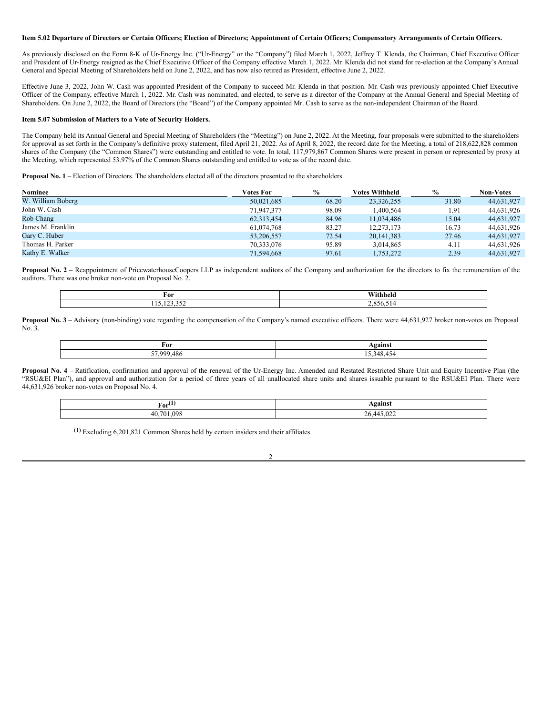#### Item 5.02 Departure of Directors or Certain Officers; Election of Directors; Appointment of Certain Officers; Compensatory Arrangements of Certain Officers.

As previously disclosed on the Form 8-K of Ur-Energy Inc. ("Ur-Energy" or the "Company") filed March 1, 2022, Jeffrey T. Klenda, the Chairman, Chief Executive Officer and President of Ur-Energy resigned as the Chief Executive Officer of the Company effective March 1, 2022. Mr. Klenda did not stand for re-election at the Company's Annual General and Special Meeting of Shareholders held on June 2, 2022, and has now also retired as President, effective June 2, 2022.

Effective June 3, 2022, John W. Cash was appointed President of the Company to succeed Mr. Klenda in that position. Mr. Cash was previously appointed Chief Executive Officer of the Company, effective March 1, 2022. Mr. Cash was nominated, and elected, to serve as a director of the Company at the Annual General and Special Meeting of Shareholders. On June 2, 2022, the Board of Directors (the "Board") of the Company appointed Mr. Cash to serve as the non-independent Chairman of the Board.

#### **Item 5.07 Submission of Matters to a Vote of Security Holders.**

The Company held its Annual General and Special Meeting of Shareholders (the "Meeting") on June 2, 2022. At the Meeting, four proposals were submitted to the shareholders for approval as set forth in the Company's definitive proxy statement, filed April 21, 2022. As of April 8, 2022, the record date for the Meeting, a total of 218,622,828 common shares of the Company (the "Common Shares") were outstanding and entitled to vote. In total, 117,979,867 Common Shares were present in person or represented by proxy at the Meeting, which represented 53.97% of the Common Shares outstanding and entitled to vote as of the record date.

**Proposal No. 1** – Election of Directors. The shareholders elected all of the directors presented to the shareholders.

| Nominee           | <b>Votes For</b> | $\frac{6}{9}$ | Votes Withheld | $\frac{0}{0}$ | <b>Non-Votes</b> |
|-------------------|------------------|---------------|----------------|---------------|------------------|
| W. William Boberg | 50,021,685       | 68.20         | 23,326,255     | 31.80         | 44,631,927       |
| John W. Cash      | 71,947,377       | 98.09         | .400.564       | 1.91          | 44,631,926       |
| Rob Chang         | 62,313,454       | 84.96         | 11,034,486     | 15.04         | 44,631,927       |
| James M. Franklin | 61,074,768       | 83.27         | 12,273,173     | 16.73         | 44,631,926       |
| Gary C. Huber     | 53,206,557       | 72.54         | 20, 141, 383   | 27.46         | 44,631,927       |
| Thomas H. Parker  | 70.333,076       | 95.89         | 3.014.865      | 4.11          | 44,631,926       |
| Kathy E. Walker   | 71,594,668       | 97.61         | 1,753,272      | 2.39          | 44,631,927       |

**Proposal No. 2** – Reappointment of PricewaterhouseCoopers LLP as independent auditors of the Company and authorization for the directors to fix the remuneration of the auditors. There was one broker non-vote on Proposal No. 2.

| For         | *****hhela |
|-------------|------------|
| 1.7.33.27   | $ -$       |
| 110,140,004 | 856        |
| __          | $\sqrt{ }$ |

**Proposal No. 3** – Advisory (non-binding) vote regarding the compensation of the Company's named executive officers. There were 44,631,927 broker non-votes on Proposal No. 3.

| For        | $\alpha$<br>•ашь.                          |
|------------|--------------------------------------------|
| 57.999.486 | $\cdot$ $\cdot$ $\cdot$<br>348<br>$-$<br>- |

**Proposal No. 4 –** Ratification, confirmation and approval of the renewal of the Ur-Energy Inc. Amended and Restated Restricted Share Unit and Equity Incentive Plan (the "RSU&EI Plan"), and approval and authorization for a period of three years of all unallocated share units and shares issuable pursuant to the RSU&EI Plan. There were 44,631,926 broker non-votes on Proposal No. 4.

| $\textbf{for}^{(1)}$<br>____ | <b>\gainst</b><br>------<br>$\overline{\phantom{a}}$ |
|------------------------------|------------------------------------------------------|
| 098<br>40.701.               | $445.02^\circ$<br>~ ^<br>4.).V <i>LL</i><br>$\sim$ 0 |

 $\mathcal{L}$ 

(1) Excluding 6,201,821 Common Shares held by certain insiders and their affiliates.